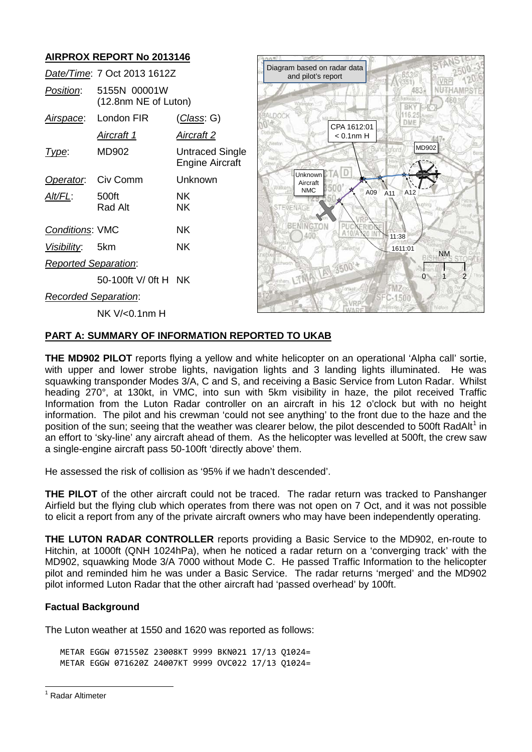# **AIRPROX REPORT No 2013146**

|                             | Date/Time: 7 Oct 2013 1612Z          |                                           |
|-----------------------------|--------------------------------------|-------------------------------------------|
| <i>Position</i> :           | 5155N 00001W<br>(12.8nm NE of Luton) |                                           |
|                             | Airspace: London FIR                 | <u>(Class</u> : G)                        |
|                             | <u>Aircraft 1</u>                    | <u>Aircraft 2</u>                         |
| Type:                       | MD902                                | Untraced Single<br><b>Engine Aircraft</b> |
| Operator. Civ Comm          |                                      | Unknown                                   |
| Alt/FL:                     | 500ft<br>Rad Alt                     | ΝK<br>ΝK                                  |
| <b>Conditions: VMC</b>      |                                      | ΝK                                        |
| Visibility: 5km             |                                      | ΝK                                        |
| <b>Reported Separation:</b> |                                      |                                           |
|                             | 50-100ft V/ 0ft H NK                 |                                           |
| <u>Recorded Separation:</u> |                                      |                                           |

NK V/<0.1nm H



## **PART A: SUMMARY OF INFORMATION REPORTED TO UKAB**

**THE MD902 PILOT** reports flying a yellow and white helicopter on an operational 'Alpha call' sortie, with upper and lower strobe lights, navigation lights and 3 landing lights illuminated. He was squawking transponder Modes 3/A, C and S, and receiving a Basic Service from Luton Radar. Whilst heading 270°, at 130kt, in VMC, into sun with 5km visibility in haze, the pilot received Traffic Information from the Luton Radar controller on an aircraft in his 12 o'clock but with no height information. The pilot and his crewman 'could not see anything' to the front due to the haze and the position of the sun; seeing that the weather was clearer below, the pilot descended to 500ft RadAlt<sup>[1](#page-0-0)</sup> in an effort to 'sky-line' any aircraft ahead of them. As the helicopter was levelled at 500ft, the crew saw a single-engine aircraft pass 50-100ft 'directly above' them.

He assessed the risk of collision as '95% if we hadn't descended'.

**THE PILOT** of the other aircraft could not be traced. The radar return was tracked to Panshanger Airfield but the flying club which operates from there was not open on 7 Oct, and it was not possible to elicit a report from any of the private aircraft owners who may have been independently operating.

**THE LUTON RADAR CONTROLLER** reports providing a Basic Service to the MD902, en-route to Hitchin, at 1000ft (QNH 1024hPa), when he noticed a radar return on a 'converging track' with the MD902, squawking Mode 3/A 7000 without Mode C. He passed Traffic Information to the helicopter pilot and reminded him he was under a Basic Service. The radar returns 'merged' and the MD902 pilot informed Luton Radar that the other aircraft had 'passed overhead' by 100ft.

## **Factual Background**

The Luton weather at 1550 and 1620 was reported as follows:

METAR EGGW 071550Z 23008KT 9999 BKN021 17/13 Q1024= METAR EGGW 071620Z 24007KT 9999 OVC022 17/13 Q1024=

<span id="page-0-0"></span><sup>&</sup>lt;sup>1</sup> Radar Altimeter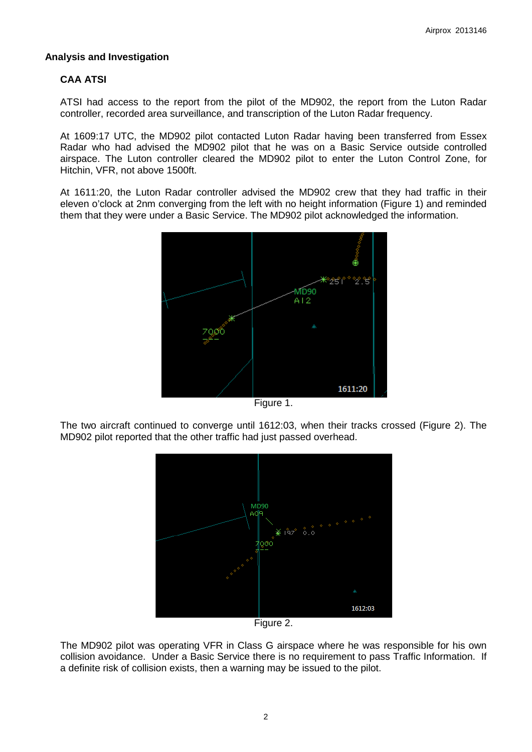### **Analysis and Investigation**

## **CAA ATSI**

ATSI had access to the report from the pilot of the MD902, the report from the Luton Radar controller, recorded area surveillance, and transcription of the Luton Radar frequency.

At 1609:17 UTC, the MD902 pilot contacted Luton Radar having been transferred from Essex Radar who had advised the MD902 pilot that he was on a Basic Service outside controlled airspace. The Luton controller cleared the MD902 pilot to enter the Luton Control Zone, for Hitchin, VFR, not above 1500ft.

At 1611:20, the Luton Radar controller advised the MD902 crew that they had traffic in their eleven o'clock at 2nm converging from the left with no height information (Figure 1) and reminded them that they were under a Basic Service. The MD902 pilot acknowledged the information.



Figure 1.

The two aircraft continued to converge until 1612:03, when their tracks crossed (Figure 2). The MD902 pilot reported that the other traffic had just passed overhead.



Figure 2.

The MD902 pilot was operating VFR in Class G airspace where he was responsible for his own collision avoidance. Under a Basic Service there is no requirement to pass Traffic Information. If a definite risk of collision exists, then a warning may be issued to the pilot.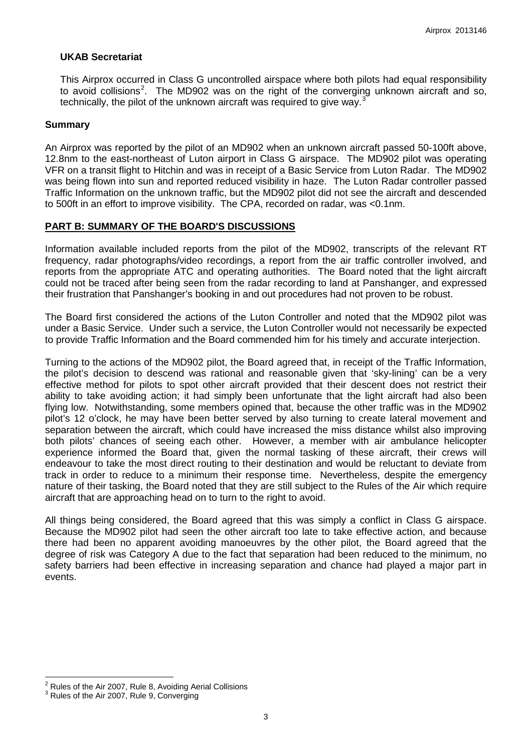### **UKAB Secretariat**

This Airprox occurred in Class G uncontrolled airspace where both pilots had equal responsibility to avoid collisions<sup>[2](#page-2-0)</sup>. The MD902 was on the right of the converging unknown aircraft and so, technically, the pilot of the unknown aircraft was required to give way.<sup>[3](#page-2-1)</sup>

#### **Summary**

An Airprox was reported by the pilot of an MD902 when an unknown aircraft passed 50-100ft above, 12.8nm to the east-northeast of Luton airport in Class G airspace. The MD902 pilot was operating VFR on a transit flight to Hitchin and was in receipt of a Basic Service from Luton Radar. The MD902 was being flown into sun and reported reduced visibility in haze. The Luton Radar controller passed Traffic Information on the unknown traffic, but the MD902 pilot did not see the aircraft and descended to 500ft in an effort to improve visibility.The CPA, recorded on radar, was <0.1nm.

### **PART B: SUMMARY OF THE BOARD'S DISCUSSIONS**

Information available included reports from the pilot of the MD902, transcripts of the relevant RT frequency, radar photographs/video recordings, a report from the air traffic controller involved, and reports from the appropriate ATC and operating authorities. The Board noted that the light aircraft could not be traced after being seen from the radar recording to land at Panshanger, and expressed their frustration that Panshanger's booking in and out procedures had not proven to be robust.

The Board first considered the actions of the Luton Controller and noted that the MD902 pilot was under a Basic Service. Under such a service, the Luton Controller would not necessarily be expected to provide Traffic Information and the Board commended him for his timely and accurate interjection.

Turning to the actions of the MD902 pilot, the Board agreed that, in receipt of the Traffic Information, the pilot's decision to descend was rational and reasonable given that 'sky-lining' can be a very effective method for pilots to spot other aircraft provided that their descent does not restrict their ability to take avoiding action; it had simply been unfortunate that the light aircraft had also been flying low. Notwithstanding, some members opined that, because the other traffic was in the MD902 pilot's 12 o'clock, he may have been better served by also turning to create lateral movement and separation between the aircraft, which could have increased the miss distance whilst also improving both pilots' chances of seeing each other. However, a member with air ambulance helicopter experience informed the Board that, given the normal tasking of these aircraft, their crews will endeavour to take the most direct routing to their destination and would be reluctant to deviate from track in order to reduce to a minimum their response time. Nevertheless, despite the emergency nature of their tasking, the Board noted that they are still subject to the Rules of the Air which require aircraft that are approaching head on to turn to the right to avoid.

All things being considered, the Board agreed that this was simply a conflict in Class G airspace. Because the MD902 pilot had seen the other aircraft too late to take effective action, and because there had been no apparent avoiding manoeuvres by the other pilot, the Board agreed that the degree of risk was Category A due to the fact that separation had been reduced to the minimum, no safety barriers had been effective in increasing separation and chance had played a major part in events.

<span id="page-2-0"></span> $^2$  Rules of the Air 2007, Rule 8, Avoiding Aerial Collisions  $^3$  Rules of the Air 2007, Rule 9, Converging

<span id="page-2-1"></span>